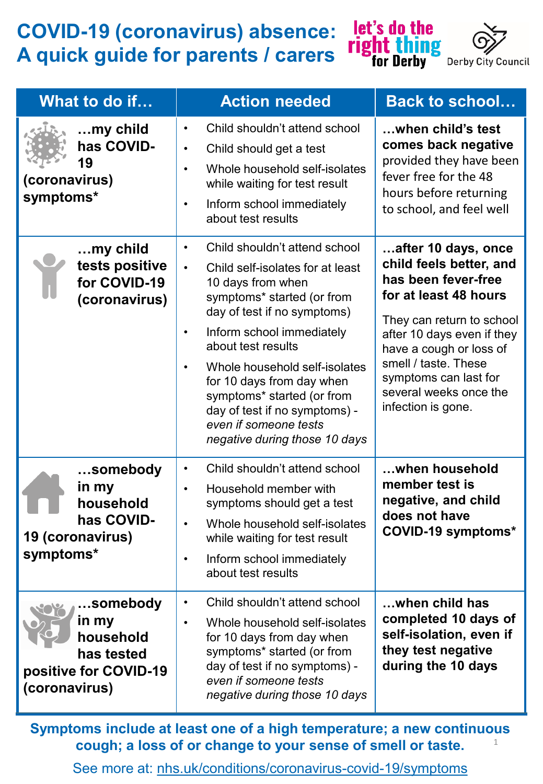## **COVID-19 (coronavirus) absence: A quick guide for parents / carers**



| What to do if                                                                           | <b>Action needed</b>                                                                                                                                                                                                                                                                                                                                                                                                                 | <b>Back to school</b>                                                                                                                                                                                                                                                                 |
|-----------------------------------------------------------------------------------------|--------------------------------------------------------------------------------------------------------------------------------------------------------------------------------------------------------------------------------------------------------------------------------------------------------------------------------------------------------------------------------------------------------------------------------------|---------------------------------------------------------------------------------------------------------------------------------------------------------------------------------------------------------------------------------------------------------------------------------------|
| $$ my child<br>has COVID-<br>19<br>(coronavirus)<br>symptoms*                           | Child shouldn't attend school<br>$\bullet$<br>Child should get a test<br>$\bullet$<br>Whole household self-isolates<br>$\bullet$<br>while waiting for test result<br>Inform school immediately<br>٠<br>about test results                                                                                                                                                                                                            | when child's test<br>comes back negative<br>provided they have been<br>fever free for the 48<br>hours before returning<br>to school, and feel well                                                                                                                                    |
| $$ my child<br>tests positive<br>for COVID-19<br>(coronavirus)                          | Child shouldn't attend school<br>$\bullet$<br>Child self-isolates for at least<br>$\bullet$<br>10 days from when<br>symptoms* started (or from<br>day of test if no symptoms)<br>Inform school immediately<br>$\bullet$<br>about test results<br>Whole household self-isolates<br>for 10 days from day when<br>symptoms* started (or from<br>day of test if no symptoms) -<br>even if someone tests<br>negative during those 10 days | after 10 days, once<br>child feels better, and<br>has been fever-free<br>for at least 48 hours<br>They can return to school<br>after 10 days even if they<br>have a cough or loss of<br>smell / taste. These<br>symptoms can last for<br>several weeks once the<br>infection is gone. |
| somebody<br>in my<br>household<br>has COVID-<br>19 (coronavirus)<br>symptoms*           | Child shouldn't attend school<br>$\bullet$<br>Household member with<br>$\bullet$<br>symptoms should get a test<br>Whole household self-isolates<br>while waiting for test result<br>Inform school immediately<br>about test results                                                                                                                                                                                                  | when household<br>member test is<br>negative, and child<br>does not have<br>COVID-19 symptoms*                                                                                                                                                                                        |
| …somebody<br>in my<br>household<br>has tested<br>positive for COVID-19<br>(coronavirus) | Child shouldn't attend school<br>$\bullet$<br>Whole household self-isolates<br>$\bullet$<br>for 10 days from day when<br>symptoms* started (or from<br>day of test if no symptoms) -<br>even if someone tests<br>negative during those 10 days                                                                                                                                                                                       | when child has<br>completed 10 days of<br>self-isolation, even if<br>they test negative<br>during the 10 days                                                                                                                                                                         |

1 **Symptoms include at least one of a high temperature; a new continuous cough; a loss of or change to your sense of smell or taste.** 

See more at: [nhs.uk/conditions/coronavirus-covid-19/symptoms](https://www.nhs.uk/conditions/coronavirus-covid-19/symptoms/)